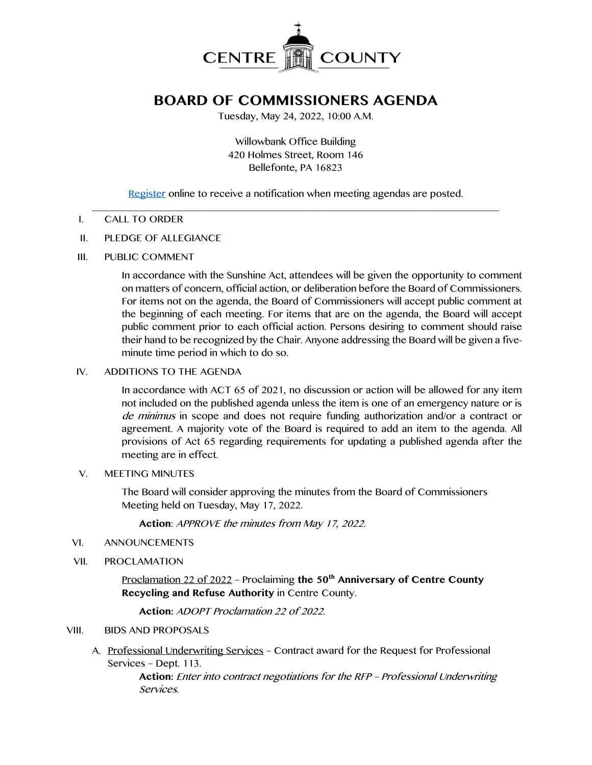

# **BOARD OF COMMISSIONERS AGENDA**

Tuesday, May 24, 2022, 10:00 A.M.

Willowbank Office Building 420 Holmes Street, Room 146 Bellefonte, PA 16823

[Register](http://www.centrecountypa.gov/AgendaCenter) online to receive a notification when meeting agendas are posted.

#### $\mathcal{L} = \{ \mathcal{L} = \{ \mathcal{L} \mid \mathcal{L} = \{ \mathcal{L} \mid \mathcal{L} = \{ \mathcal{L} \mid \mathcal{L} = \{ \mathcal{L} \mid \mathcal{L} = \{ \mathcal{L} \mid \mathcal{L} = \{ \mathcal{L} \mid \mathcal{L} = \{ \mathcal{L} \mid \mathcal{L} = \{ \mathcal{L} \mid \mathcal{L} = \{ \mathcal{L} \mid \mathcal{L} = \{ \mathcal{L} \mid \mathcal{L} = \{ \mathcal{L} \mid \mathcal{L} = \{ \mathcal{L} \mid \mathcal{L} =$ I. CALL TO ORDER

#### II. PLEDGE OF ALLEGIANCE

III. PUBLIC COMMENT

In accordance with the Sunshine Act, attendees will be given the opportunity to comment on matters of concern, official action, or deliberation before the Board of Commissioners. For items not on the agenda, the Board of Commissioners will accept public comment at the beginning of each meeting. For items that are on the agenda, the Board will accept public comment prior to each official action. Persons desiring to comment should raise their hand to be recognized by the Chair. Anyone addressing the Board will be given a fiveminute time period in which to do so.

#### IV. ADDITIONS TO THE AGENDA

In accordance with ACT 65 of 2021, no discussion or action will be allowed for any item not included on the published agenda unless the item is one of an emergency nature or is de minimus in scope and does not require funding authorization and/or a contract or agreement. A majority vote of the Board is required to add an item to the agenda. All provisions of Act 65 regarding requirements for updating a published agenda after the meeting are in effect.

#### V. MEETING MINUTES

The Board will consider approving the minutes from the Board of Commissioners Meeting held on Tuesday, May 17, 2022.

**Action**: APPROVE the minutes from May 17, 2022.

#### VI. ANNOUNCEMENTS

VII. PROCLAMATION

Proclamation 22 of 2022 - Proclaiming the 50<sup>th</sup> Anniversary of Centre County **Recycling and Refuse Authority** in Centre County.

**Action:** ADOPT Proclamation 22 of 2022.

# VIII. BIDS AND PROPOSALS

A. Professional Underwriting Services – Contract award for the Request for Professional Services – Dept. 113.

> **Action:** Enter into contract negotiations for the RFP – Professional Underwriting Services.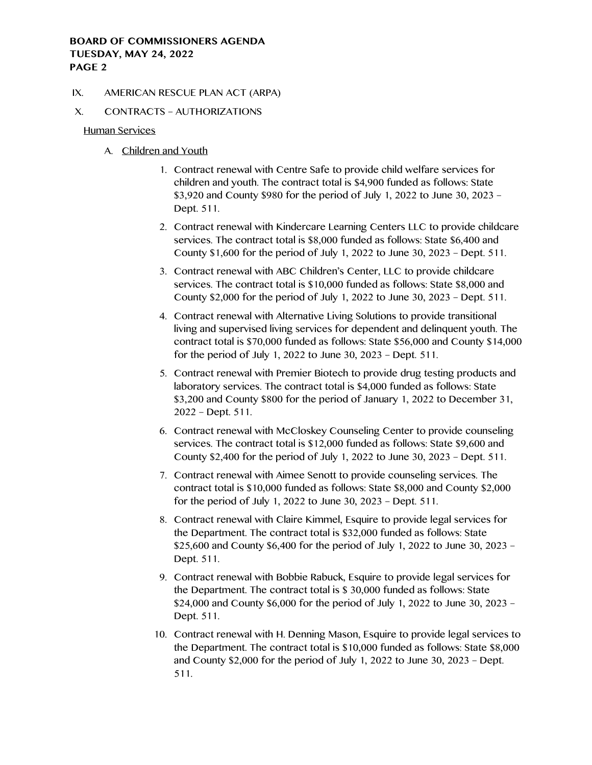#### IX. AMERICAN RESCUE PLAN ACT (ARPA)

# X. CONTRACTS – AUTHORIZATIONS

Human Services

- A. Children and Youth
	- 1. Contract renewal with Centre Safe to provide child welfare services for children and youth. The contract total is \$4,900 funded as follows: State \$3,920 and County \$980 for the period of July 1, 2022 to June 30, 2023 – Dept. 511.
	- 2. Contract renewal with Kindercare Learning Centers LLC to provide childcare services. The contract total is \$8,000 funded as follows: State \$6,400 and County \$1,600 for the period of July 1, 2022 to June 30, 2023 – Dept. 511.
	- 3. Contract renewal with ABC Children's Center, LLC to provide childcare services. The contract total is \$10,000 funded as follows: State \$8,000 and County \$2,000 for the period of July 1, 2022 to June 30, 2023 – Dept. 511.
	- 4. Contract renewal with Alternative Living Solutions to provide transitional living and supervised living services for dependent and delinquent youth. The contract total is \$70,000 funded as follows: State \$56,000 and County \$14,000 for the period of July 1, 2022 to June 30, 2023 – Dept. 511.
	- 5. Contract renewal with Premier Biotech to provide drug testing products and laboratory services. The contract total is \$4,000 funded as follows: State \$3,200 and County \$800 for the period of January 1, 2022 to December 31, 2022 – Dept. 511.
	- 6. Contract renewal with McCloskey Counseling Center to provide counseling services. The contract total is \$12,000 funded as follows: State \$9,600 and County \$2,400 for the period of July 1, 2022 to June 30, 2023 – Dept. 511.
	- 7. Contract renewal with Aimee Senott to provide counseling services. The contract total is \$10,000 funded as follows: State \$8,000 and County \$2,000 for the period of July 1, 2022 to June 30, 2023 – Dept. 511.
	- 8. Contract renewal with Claire Kimmel, Esquire to provide legal services for the Department. The contract total is \$32,000 funded as follows: State \$25,600 and County \$6,400 for the period of July 1, 2022 to June 30, 2023 – Dept. 511.
	- 9. Contract renewal with Bobbie Rabuck, Esquire to provide legal services for the Department. The contract total is \$ 30,000 funded as follows: State \$24,000 and County \$6,000 for the period of July 1, 2022 to June 30, 2023 – Dept. 511.
	- 10. Contract renewal with H. Denning Mason, Esquire to provide legal services to the Department. The contract total is \$10,000 funded as follows: State \$8,000 and County \$2,000 for the period of July 1, 2022 to June 30, 2023 – Dept. 511.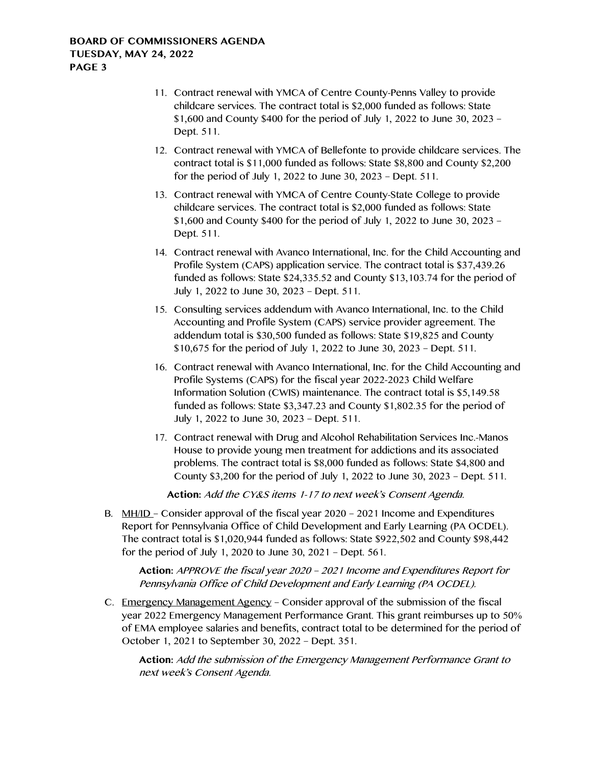- 11. Contract renewal with YMCA of Centre County-Penns Valley to provide childcare services. The contract total is \$2,000 funded as follows: State \$1,600 and County \$400 for the period of July 1, 2022 to June 30, 2023 – Dept. 511.
- 12. Contract renewal with YMCA of Bellefonte to provide childcare services. The contract total is \$11,000 funded as follows: State \$8,800 and County \$2,200 for the period of July 1, 2022 to June 30, 2023 – Dept. 511.
- 13. Contract renewal with YMCA of Centre County-State College to provide childcare services. The contract total is \$2,000 funded as follows: State \$1,600 and County \$400 for the period of July 1, 2022 to June 30, 2023 – Dept. 511.
- 14. Contract renewal with Avanco International, Inc. for the Child Accounting and Profile System (CAPS) application service. The contract total is \$37,439.26 funded as follows: State \$24,335.52 and County \$13,103.74 for the period of July 1, 2022 to June 30, 2023 – Dept. 511.
- 15. Consulting services addendum with Avanco International, Inc. to the Child Accounting and Profile System (CAPS) service provider agreement. The addendum total is \$30,500 funded as follows: State \$19,825 and County \$10,675 for the period of July 1, 2022 to June 30, 2023 – Dept. 511.
- 16. Contract renewal with Avanco International, Inc. for the Child Accounting and Profile Systems (CAPS) for the fiscal year 2022-2023 Child Welfare Information Solution (CWIS) maintenance. The contract total is \$5,149.58 funded as follows: State \$3,347.23 and County \$1,802.35 for the period of July 1, 2022 to June 30, 2023 – Dept. 511.
- 17. Contract renewal with Drug and Alcohol Rehabilitation Services Inc.-Manos House to provide young men treatment for addictions and its associated problems. The contract total is \$8,000 funded as follows: State \$4,800 and County \$3,200 for the period of July 1, 2022 to June 30, 2023 – Dept. 511.

**Action:** Add the CY&S items 1-17 to next week's Consent Agenda.

B. MH/ID – Consider approval of the fiscal year 2020 – 2021 Income and Expenditures Report for Pennsylvania Office of Child Development and Early Learning (PA OCDEL). The contract total is \$1,020,944 funded as follows: State \$922,502 and County \$98,442 for the period of July 1, 2020 to June 30, 2021 – Dept. 561.

**Action:** APPROVE the fiscal year 2020 – 2021 Income and Expenditures Report for Pennsylvania Office of Child Development and Early Learning (PA OCDEL).

C. Emergency Management Agency – Consider approval of the submission of the fiscal year 2022 Emergency Management Performance Grant. This grant reimburses up to 50% of EMA employee salaries and benefits, contract total to be determined for the period of October 1, 2021 to September 30, 2022 – Dept. 351.

**Action:** Add the submission of the Emergency Management Performance Grant to next week's Consent Agenda.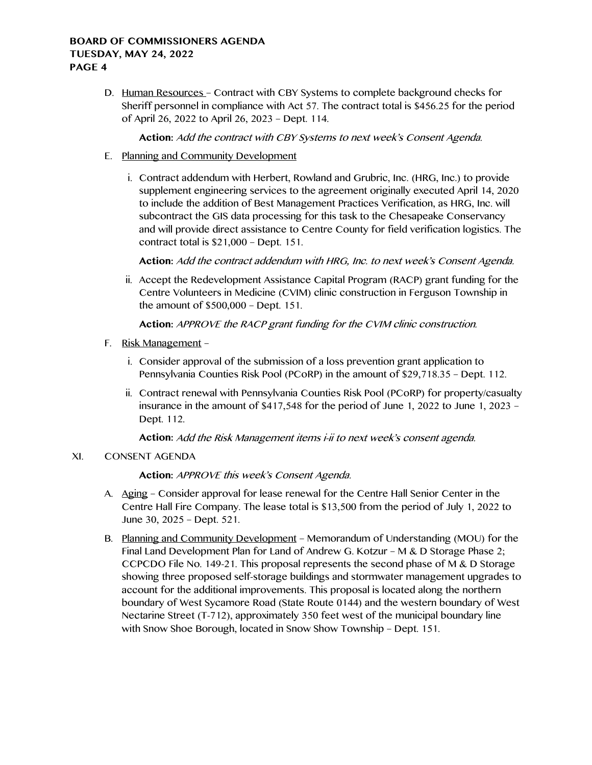D. Human Resources – Contract with CBY Systems to complete background checks for Sheriff personnel in compliance with Act 57. The contract total is \$456.25 for the period of April 26, 2022 to April 26, 2023 – Dept. 114.

**Action:** Add the contract with CBY Systems to next week's Consent Agenda.

- E. Planning and Community Development
	- i. Contract addendum with Herbert, Rowland and Grubric, Inc. (HRG, Inc.) to provide supplement engineering services to the agreement originally executed April 14, 2020 to include the addition of Best Management Practices Verification, as HRG, Inc. will subcontract the GIS data processing for this task to the Chesapeake Conservancy and will provide direct assistance to Centre County for field verification logistics. The contract total is \$21,000 – Dept. 151.

**Action:** Add the contract addendum with HRG, Inc. to next week's Consent Agenda.

ii. Accept the Redevelopment Assistance Capital Program (RACP) grant funding for the Centre Volunteers in Medicine (CVIM) clinic construction in Ferguson Township in the amount of \$500,000 – Dept. 151.

**Action:** APPROVE the RACP grant funding for the CVIM clinic construction.

- F. Risk Management
	- i. Consider approval of the submission of a loss prevention grant application to Pennsylvania Counties Risk Pool (PCoRP) in the amount of \$29,718.35 – Dept. 112.
	- ii. Contract renewal with Pennsylvania Counties Risk Pool (PCoRP) for property/casualty insurance in the amount of \$417,548 for the period of June 1, 2022 to June 1, 2023 – Dept. 112.

**Action:** Add the Risk Management items i-ii to next week's consent agenda.

# XI. CONSENT AGENDA

# **Action:** APPROVE this week's Consent Agenda.

- A. Aging Consider approval for lease renewal for the Centre Hall Senior Center in the Centre Hall Fire Company. The lease total is \$13,500 from the period of July 1, 2022 to June 30, 2025 – Dept. 521.
- B. Planning and Community Development Memorandum of Understanding (MOU) for the Final Land Development Plan for Land of Andrew G. Kotzur – M & D Storage Phase 2; CCPCDO File No. 149-21. This proposal represents the second phase of M & D Storage showing three proposed self-storage buildings and stormwater management upgrades to account for the additional improvements. This proposal is located along the northern boundary of West Sycamore Road (State Route 0144) and the western boundary of West Nectarine Street (T-712), approximately 350 feet west of the municipal boundary line with Snow Shoe Borough, located in Snow Show Township - Dept. 151.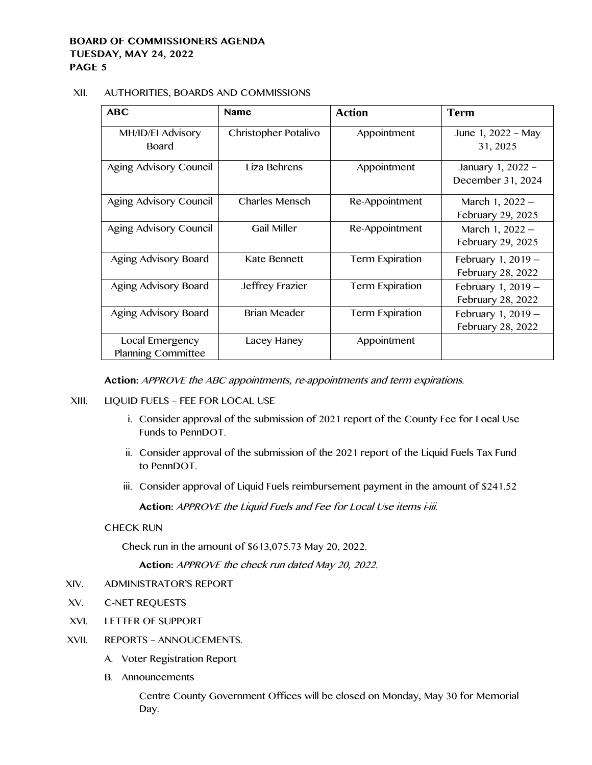#### XII. AUTHORITIES, BOARDS AND COMMISSIONS

| <b>ABC</b>                                   | <b>Name</b>          | <b>Action</b>          | <b>Term</b>                               |
|----------------------------------------------|----------------------|------------------------|-------------------------------------------|
| MH/ID/EI Advisory<br>Board                   | Christopher Potalivo | Appointment            | June 1, 2022 - May<br>31, 2025            |
| Aging Advisory Council                       | Liza Behrens         | Appointment            | January 1, 2022 -<br>December 31, 2024    |
| Aging Advisory Council                       | Charles Mensch       | Re-Appointment         | March 1, $2022 -$<br>February 29, 2025    |
| Aging Advisory Council                       | <b>Gail Miller</b>   | Re-Appointment         | March 1, $2022 -$<br>February 29, 2025    |
| Aging Advisory Board                         | Kate Bennett         | Term Expiration        | February 1, $2019 -$<br>February 28, 2022 |
| Aging Advisory Board                         | Jeffrey Frazier      | <b>Term Expiration</b> | February 1, $2019 -$<br>February 28, 2022 |
| Aging Advisory Board                         | <b>Brian Meader</b>  | <b>Term Expiration</b> | February 1, $2019 -$<br>February 28, 2022 |
| Local Emergency<br><b>Planning Committee</b> | Lacey Haney          | Appointment            |                                           |

**Action:** APPROVE the ABC appointments, re-appointments and term expirations.

- XIII. LIQUID FUELS FEE FOR LOCAL USE
	- i. Consider approval of the submission of 2021 report of the County Fee for Local Use Funds to PennDOT.
	- ii. Consider approval of the submission of the 2021 report of the Liquid Fuels Tax Fund to PennDOT.
	- iii. Consider approval of Liquid Fuels reimbursement payment in the amount of \$241.52

**Action:** APPROVE the Liquid Fuels and Fee for Local Use items i-iii.

# CHECK RUN

Check run in the amount of \$613,075.73 May 20, 2022.

**Action:** APPROVE the check run dated May 20, 2022.

- XIV. ADMINISTRATOR'S REPORT
- XV. C-NET REQUESTS
- XVI. LETTER OF SUPPORT
- XVII. REPORTS ANNOUCEMENTS.
	- A. Voter Registration Report
	- B. Announcements

Centre County Government Offices will be closed on Monday, May 30 for Memorial Day.